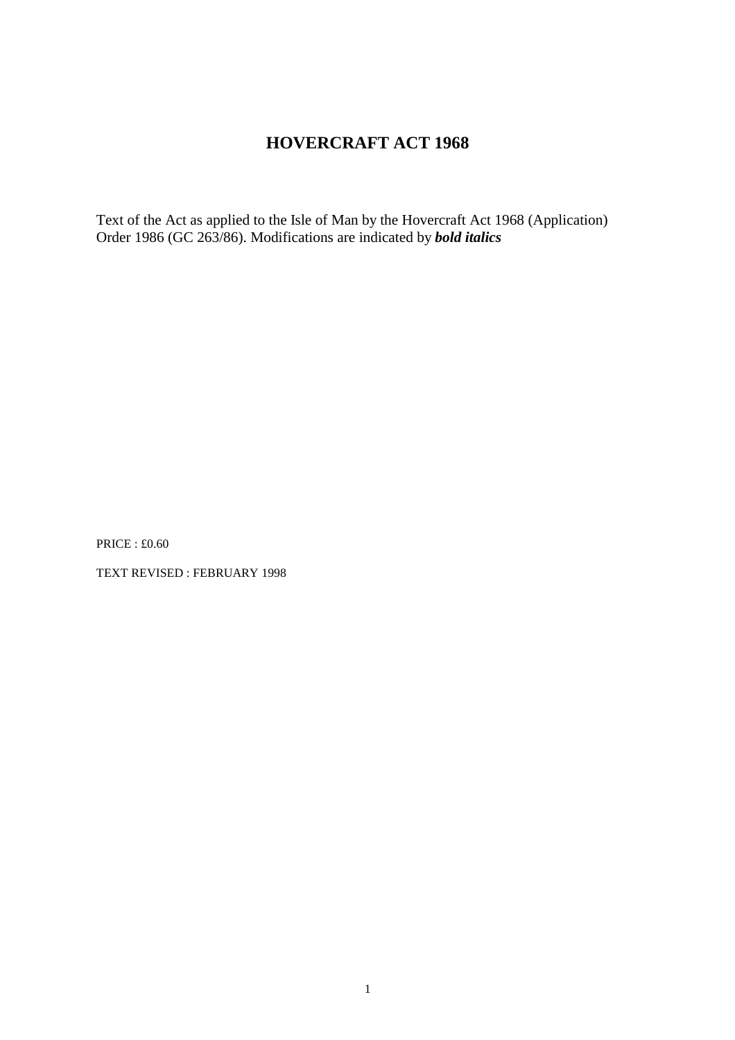# **HOVERCRAFT ACT 1968**

Text of the Act as applied to the Isle of Man by the Hovercraft Act 1968 (Application) Order 1986 (GC 263/86). Modifications are indicated by *bold italics*

PRICE : £0.60

TEXT REVISED : FEBRUARY 1998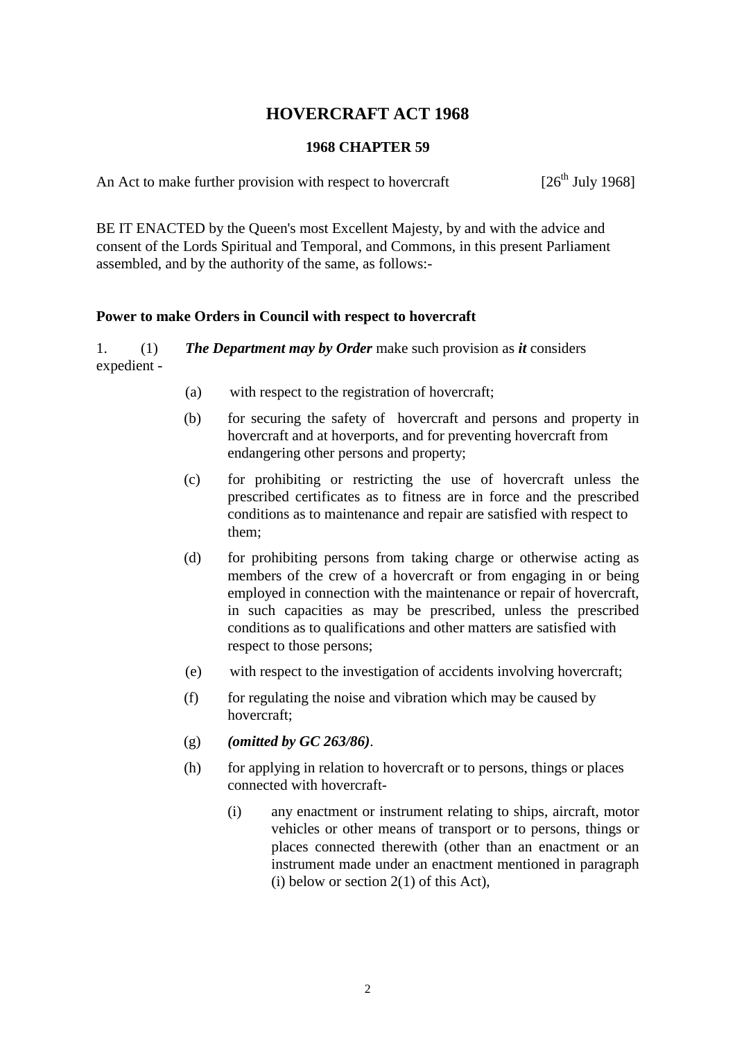# **HOVERCRAFT ACT 1968**

### **1968 CHAPTER 59**

An Act to make further provision with respect to hovercraft [26<sup>th</sup> July 1968]

BE IT ENACTED by the Queen's most Excellent Majesty, by and with the advice and consent of the Lords Spiritual and Temporal, and Commons, in this present Parliament assembled, and by the authority of the same, as follows:-

## **Power to make Orders in Council with respect to hovercraft**

1. (1) *The Department may by Order* make such provision as *it* considers expedient -

- (a) with respect to the registration of hovercraft;
- (b) for securing the safety of hovercraft and persons and property in hovercraft and at hoverports, and for preventing hovercraft from endangering other persons and property;
- (c) for prohibiting or restricting the use of hovercraft unless the prescribed certificates as to fitness are in force and the prescribed conditions as to maintenance and repair are satisfied with respect to them;
- (d) for prohibiting persons from taking charge or otherwise acting as members of the crew of a hovercraft or from engaging in or being employed in connection with the maintenance or repair of hovercraft, in such capacities as may be prescribed, unless the prescribed conditions as to qualifications and other matters are satisfied with respect to those persons;
- (e) with respect to the investigation of accidents involving hovercraft;
- $(f)$  for regulating the noise and vibration which may be caused by hovercraft;
- (g) *(omitted by GC 263/86)*.
- (h) for applying in relation to hovercraft or to persons, things or places connected with hovercraft-
	- (i) any enactment or instrument relating to ships, aircraft, motor vehicles or other means of transport or to persons, things or places connected therewith (other than an enactment or an instrument made under an enactment mentioned in paragraph (i) below or section  $2(1)$  of this Act),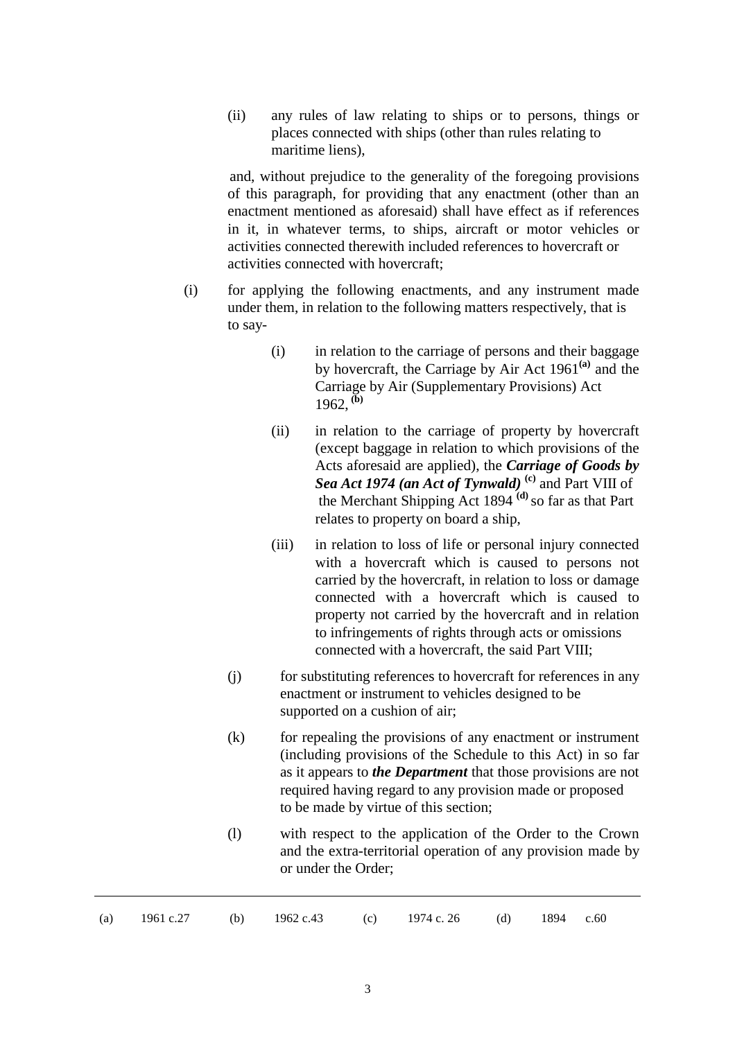(ii) any rules of law relating to ships or to persons, things or places connected with ships (other than rules relating to maritime liens),

and, without prejudice to the generality of the foregoing provisions of this paragraph, for providing that any enactment (other than an enactment mentioned as aforesaid) shall have effect as if references in it, in whatever terms, to ships, aircraft or motor vehicles or activities connected therewith included references to hovercraft or activities connected with hovercraft;

- (i) for applying the following enactments, and any instrument made under them, in relation to the following matters respectively, that is to say-
	- (i) in relation to the carriage of persons and their baggage by hovercraft, the Carriage by Air Act 1961**(a)** and the Carriage by Air (Supplementary Provisions) Act  $1962$ <sup>(b)</sup>
	- (ii) in relation to the carriage of property by hovercraft (except baggage in relation to which provisions of the Acts aforesaid are applied), the *Carriage of Goods by Sea Act 1974 (an Act of Tynwald)* **(c)** and Part VIII of the Merchant Shipping Act 1894 **(d)** so far as that Part relates to property on board a ship,
	- (iii) in relation to loss of life or personal injury connected with a hovercraft which is caused to persons not carried by the hovercraft, in relation to loss or damage connected with a hovercraft which is caused to property not carried by the hovercraft and in relation to infringements of rights through acts or omissions connected with a hovercraft, the said Part VIII;
	- (j) for substituting references to hovercraft for references in any enactment or instrument to vehicles designed to be supported on a cushion of air;
	- $(k)$  for repealing the provisions of any enactment or instrument (including provisions of the Schedule to this Act) in so far as it appears to *the Department* that those provisions are not required having regard to any provision made or proposed to be made by virtue of this section;
	- (l) with respect to the application of the Order to the Crown and the extra-territorial operation of any provision made by or under the Order;

| (a) $1961 \text{ c.27}$ (b) $1962 \text{ c.43}$ (c) $1974 \text{ c.26}$ (d) $1894 \text{ c.60}$ |  |
|-------------------------------------------------------------------------------------------------|--|
|-------------------------------------------------------------------------------------------------|--|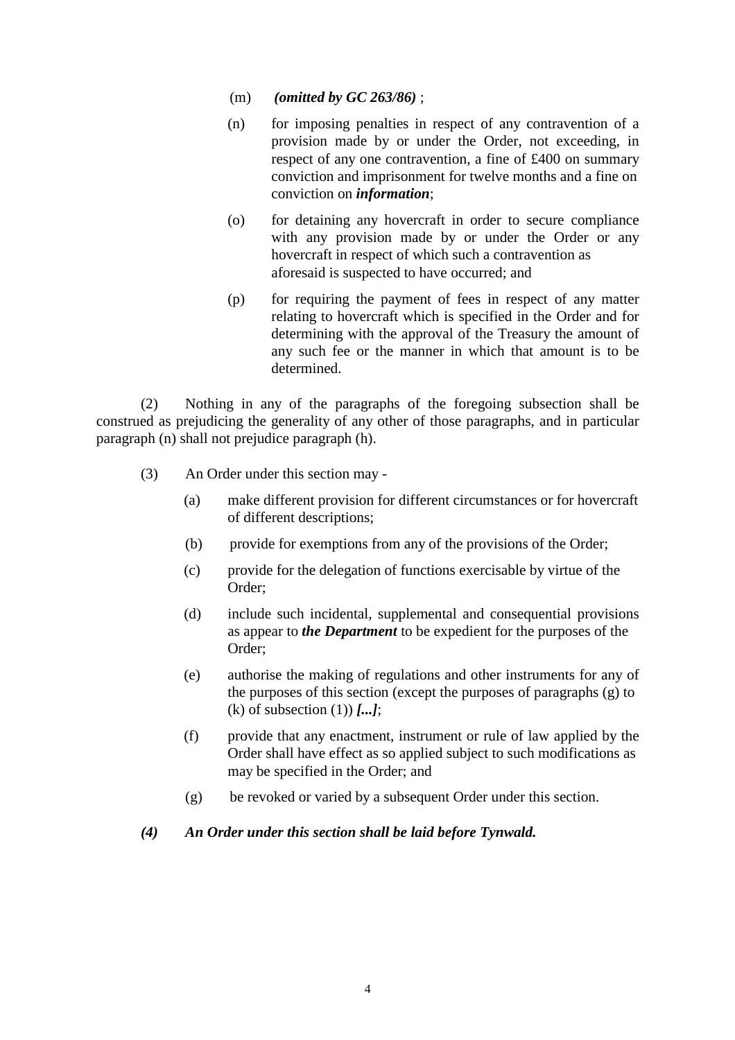- (m) *(omitted by GC 263/86)* ;
- (n) for imposing penalties in respect of any contravention of a provision made by or under the Order, not exceeding, in respect of any one contravention, a fine of £400 on summary conviction and imprisonment for twelve months and a fine on conviction on *information*;
- (o) for detaining any hovercraft in order to secure compliance with any provision made by or under the Order or any hovercraft in respect of which such a contravention as aforesaid is suspected to have occurred; and
- (p) for requiring the payment of fees in respect of any matter relating to hovercraft which is specified in the Order and for determining with the approval of the Treasury the amount of any such fee or the manner in which that amount is to be determined.

(2) Nothing in any of the paragraphs of the foregoing subsection shall be construed as prejudicing the generality of any other of those paragraphs, and in particular paragraph (n) shall not prejudice paragraph (h).

- (3) An Order under this section may
	- (a) make different provision for different circumstances or for hovercraft of different descriptions;
	- (b) provide for exemptions from any of the provisions of the Order;
	- (c) provide for the delegation of functions exercisable by virtue of the Order;
	- (d) include such incidental, supplemental and consequential provisions as appear to *the Department* to be expedient for the purposes of the Order;
	- (e) authorise the making of regulations and other instruments for any of the purposes of this section (except the purposes of paragraphs (g) to (k) of subsection (1)) *[...]*;
	- (f) provide that any enactment, instrument or rule of law applied by the Order shall have effect as so applied subject to such modifications as may be specified in the Order; and
	- (g) be revoked or varied by a subsequent Order under this section.

#### *(4) An Order under this section shall be laid before Tynwald.*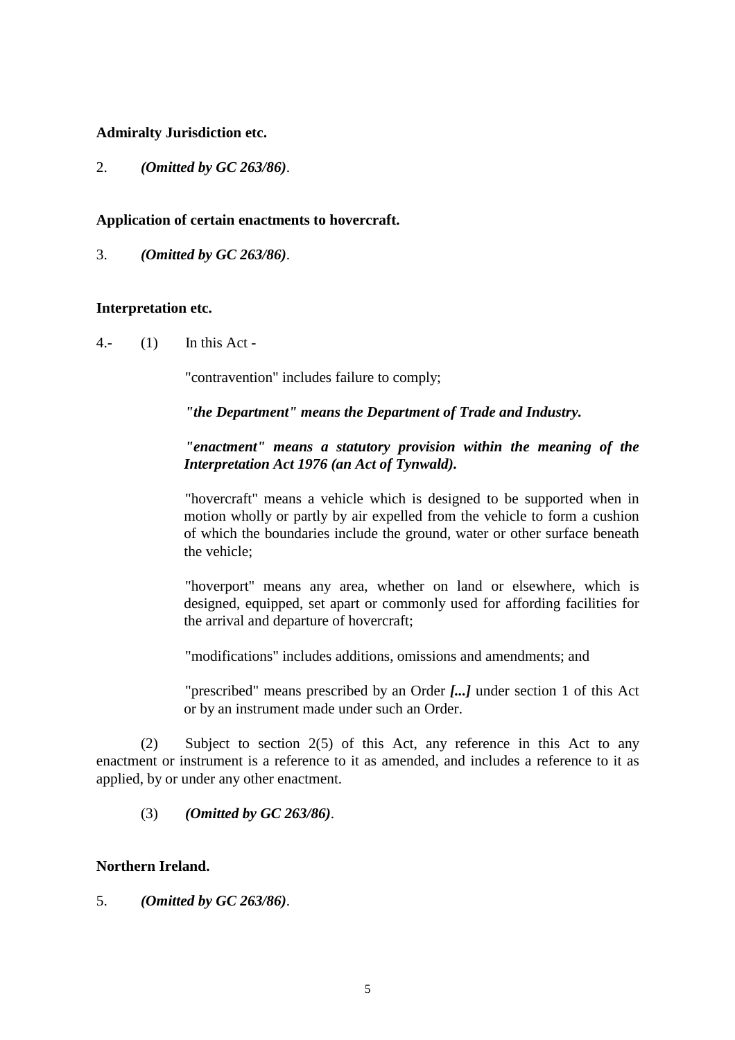#### **Admiralty Jurisdiction etc.**

2. *(Omitted by GC 263/86)*.

#### **Application of certain enactments to hovercraft.**

3. *(Omitted by GC 263/86)*.

#### **Interpretation etc.**

4.- (1) In this Act -

"contravention" includes failure to comply;

*"the Department" means the Department of Trade and Industry.*

## *"enactment" means a statutory provision within the meaning of the Interpretation Act 1976 (an Act of Tynwald).*

"hovercraft" means a vehicle which is designed to be supported when in motion wholly or partly by air expelled from the vehicle to form a cushion of which the boundaries include the ground, water or other surface beneath the vehicle;

"hoverport" means any area, whether on land or elsewhere, which is designed, equipped, set apart or commonly used for affording facilities for the arrival and departure of hovercraft;

"modifications" includes additions, omissions and amendments; and

"prescribed" means prescribed by an Order *[...]* under section 1 of this Act or by an instrument made under such an Order.

(2) Subject to section 2(5) of this Act, any reference in this Act to any enactment or instrument is a reference to it as amended, and includes a reference to it as applied, by or under any other enactment.

(3) *(Omitted by GC 263/86)*.

#### **Northern Ireland.**

5. *(Omitted by GC 263/86)*.